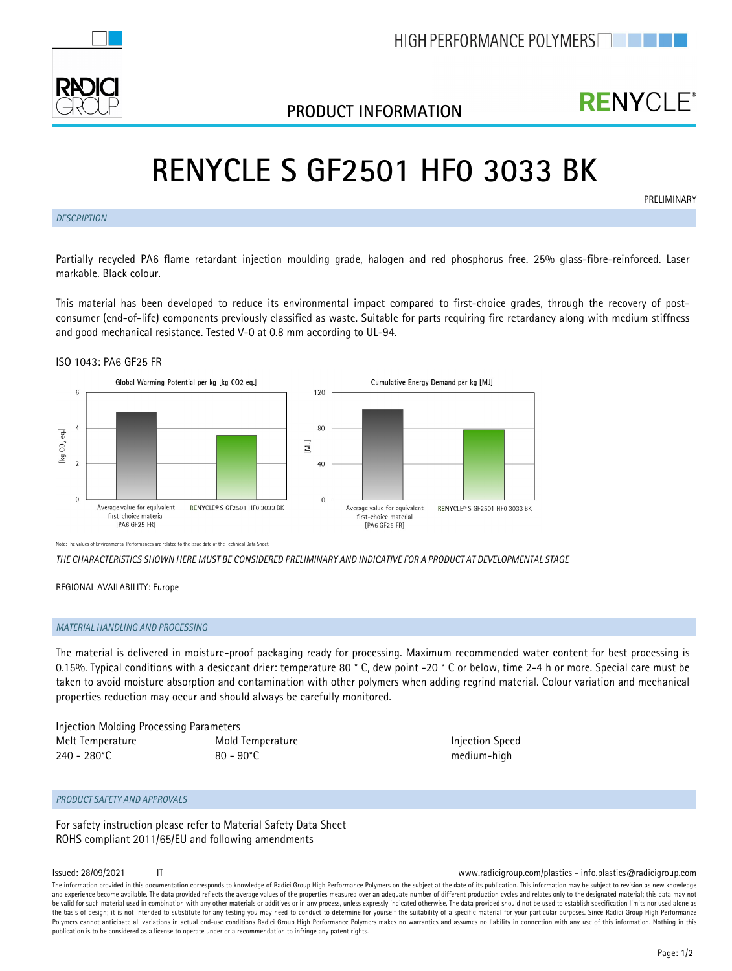

## **PRODUCT INFORMATION**

## **RENYCLE®**

**PRELIMINARY** 

# **RENYCLE S GF2501 HF0 3033 BK**

*DESCRIPTION*

Partially recycled PA6 flame retardant injection moulding grade, halogen and red phosphorus free. 25% glass-fibre-reinforced. Laser markable. Black colour.

This material has been developed to reduce its environmental impact compared to first-choice grades, through the recovery of postconsumer (end-of-life) components previously classified as waste. Suitable for parts requiring fire retardancy along with medium stiffness and good mechanical resistance. Tested V-0 at 0.8 mm according to UL-94.

## ISO 1043: PA6 GF25 FR



Note: The values of Environmental Performances are related to the issue date of the Technical Data Sheet.

*THE CHARACTERISTICS SHOWN HERE MUST BE CONSIDERED PRELIMINARY AND INDICATIVE FOR A PRODUCT AT DEVELOPMENTAL STAGE*

REGIONAL AVAILABILITY: Europe

### *MATERIAL HANDLING AND PROCESSING*

The material is delivered in moisture-proof packaging ready for processing. Maximum recommended water content for best processing is 0.15%. Typical conditions with a desiccant drier: temperature 80 ° C, dew point -20 ° C or below, time 2-4 h or more. Special care must be taken to avoid moisture absorption and contamination with other polymers when adding regrind material. Colour variation and mechanical properties reduction may occur and should always be carefully monitored.

| Injection Molding Processing Parameters |                     |  |
|-----------------------------------------|---------------------|--|
| Melt Temperature                        | Mold Temperature    |  |
| $240 - 280^{\circ}$ C                   | $80 - 90^{\circ}$ C |  |

**Injection Speed** medium-high

## *PRODUCT SAFETY AND APPROVALS*

For safety instruction please refer to Material Safety Data Sheet ROHS compliant 2011/65/EU and following amendments

### Issued: 28/09/2021 IT www.radicigroup.com/plastics - info.plastics@radicigroup.com

The information provided in this documentation corresponds to knowledge of Radici Group High Performance Polymers on the subject at the date of its publication. This information may be subject to revision as new knowledge and experience become available. The data provided reflects the average values of the properties measured over an adequate number of different production cycles and relates only to the designated material; this data may no be valid for such material used in combination with any other materials or additives or in any process, unless expressly indicated otherwise. The data provided should not be used to establish specification limits nor used the basis of design; it is not intended to substitute for any testing you may need to conduct to determine for yourself the suitability of a specific material for your particular purposes. Since Radici Group High Performan Polymers cannot anticipate all variations in actual end-use conditions Radici Group High Performance Polymers makes no warranties and assumes no liability in connection with any use of this information. Nothing in this publication is to be considered as a license to operate under or a recommendation to infringe any patent rights.